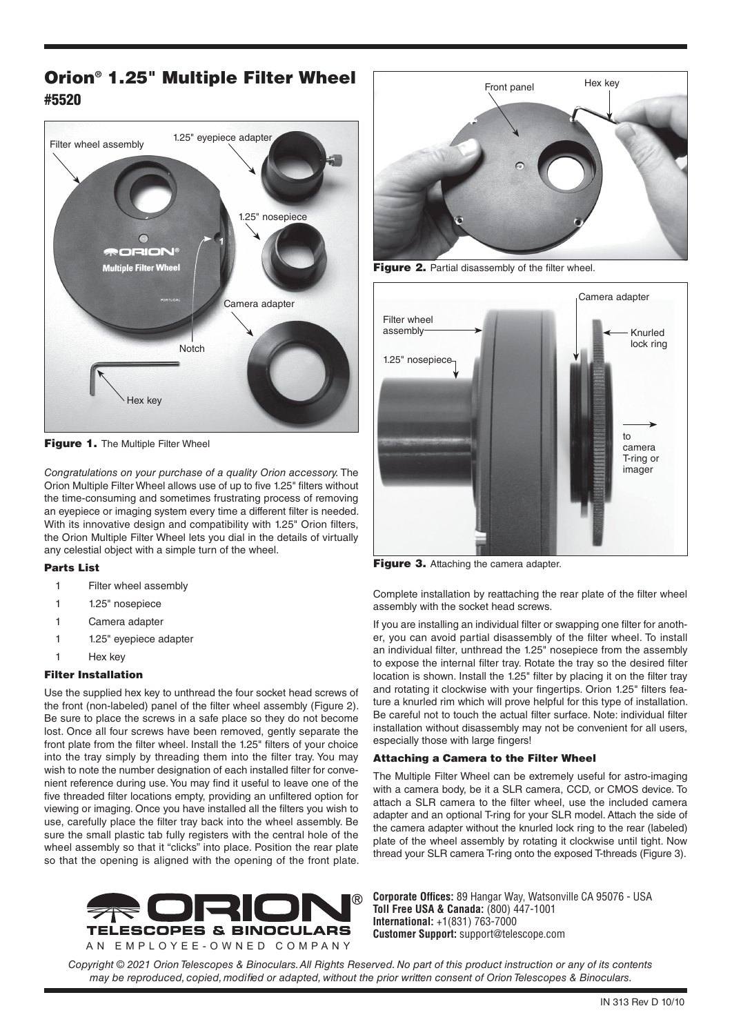# Orion® 1.25" Multiple Filter Wheel #5520



Figure 1. The Multiple Filter Wheel

*Congratulations on your purchase of a quality Orion accessory.* The Orion Multiple Filter Wheel allows use of up to five 1.25" filters without the time-consuming and sometimes frustrating process of removing an eyepiece or imaging system every time a different filter is needed. With its innovative design and compatibility with 1.25" Orion filters, the Orion Multiple Filter Wheel lets you dial in the details of virtually any celestial object with a simple turn of the wheel.

## Parts List

- 1 Filter wheel assembly
- 1 1.25" nosepiece
- Camera adapter
- 1 1.25" eyepiece adapter
- 1 Hex key

# Filter Installation

Use the supplied hex key to unthread the four socket head screws of the front (non-labeled) panel of the filter wheel assembly (Figure 2). Be sure to place the screws in a safe place so they do not become lost. Once all four screws have been removed, gently separate the front plate from the filter wheel. Install the 1.25" filters of your choice into the tray simply by threading them into the filter tray. You may wish to note the number designation of each installed filter for convenient reference during use. You may find it useful to leave one of the five threaded filter locations empty, providing an unfiltered option for viewing or imaging. Once you have installed all the filters you wish to use, carefully place the filter tray back into the wheel assembly. Be sure the small plastic tab fully registers with the central hole of the wheel assembly so that it "clicks" into place. Position the rear plate so that the opening is aligned with the opening of the front plate.





Figure 2. Partial disassembly of the filter wheel.



Figure 3. Attaching the camera adapter.

Complete installation by reattaching the rear plate of the filter wheel assembly with the socket head screws.

If you are installing an individual filter or swapping one filter for another, you can avoid partial disassembly of the filter wheel. To install an individual filter, unthread the 1.25" nosepiece from the assembly to expose the internal filter tray. Rotate the tray so the desired filter location is shown. Install the 1.25" filter by placing it on the filter tray and rotating it clockwise with your fingertips. Orion 1.25" filters feature a knurled rim which will prove helpful for this type of installation. Be careful not to touch the actual filter surface. Note: individual filter installation without disassembly may not be convenient for all users, especially those with large fingers!

# Attaching a Camera to the Filter Wheel

The Multiple Filter Wheel can be extremely useful for astro-imaging with a camera body, be it a SLR camera, CCD, or CMOS device. To attach a SLR camera to the filter wheel, use the included camera adapter and an optional T-ring for your SLR model. Attach the side of the camera adapter without the knurled lock ring to the rear (labeled) plate of the wheel assembly by rotating it clockwise until tight. Now thread your SLR camera T-ring onto the exposed T-threads (Figure 3).

**Corporate Offices:** 89 Hangar Way, Watsonville CA 95076 - USA **Toll Free USA & Canada:** (800) 447-1001 **International:** +1(831) 763-7000 **Customer Support:** support@telescope.com

*Copyright © 2021 Orion Telescopes & Binoculars. All Rights Reserved. No part of this product instruction or any of its contents may be reproduced, copied, modified or adapted, without the prior written consent of Orion Telescopes & Binoculars.*